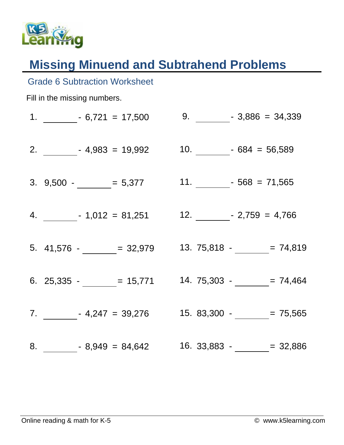

Grade 6 Subtraction Worksheet

## **Missing Minuend and Subtrahend Problems**

## Fill in the missing numbers. 1.  $-6,721 = 17,500$  $2. \_ 4,983 = 19,992$ 3.  $9,500 - 5,377$  $4. \qquad$   $-1,012 = 81,251$ 5.  $41,576$  - = 32,979 6.  $25,335 -$  = 15,771 7. - 4,247 = 39,276  $8. \hspace{1cm} 8,949 = 84,642 \hspace{1cm} 16. \hspace{1cm} 33,883 - \underline{\hspace{1cm}} = 32,886$ 9.  $-3,886 = 34,339$ 10.  $-684 = 56,589$ 11.  $-568 = 71,565$ 12.  $-2,759 = 4,766$  $13. 75,818 - 74,819$  $14. 75,303 - 74,464$ 15. 83,300 -  $= 75,565$